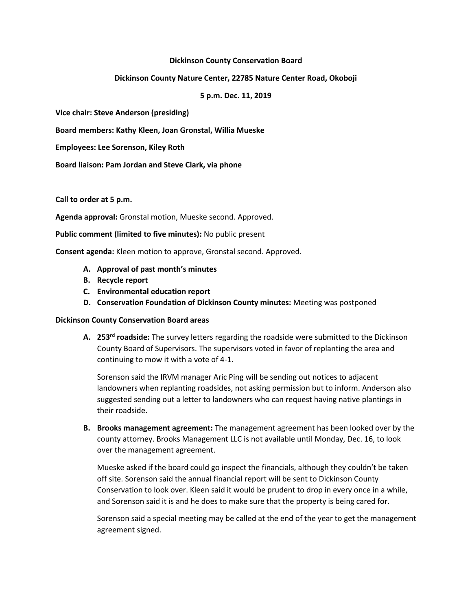#### **Dickinson County Conservation Board**

### **Dickinson County Nature Center, 22785 Nature Center Road, Okoboji**

### **5 p.m. Dec. 11, 2019**

**Vice chair: Steve Anderson (presiding)**

**Board members: Kathy Kleen, Joan Gronstal, Willia Mueske**

**Employees: Lee Sorenson, Kiley Roth**

**Board liaison: Pam Jordan and Steve Clark, via phone**

**Call to order at 5 p.m.**

**Agenda approval:** Gronstal motion, Mueske second. Approved.

**Public comment (limited to five minutes):** No public present

**Consent agenda:** Kleen motion to approve, Gronstal second. Approved.

- **A. Approval of past month's minutes**
- **B. Recycle report**
- **C. Environmental education report**
- **D. Conservation Foundation of Dickinson County minutes:** Meeting was postponed

#### **Dickinson County Conservation Board areas**

**A. 253rd roadside:** The survey letters regarding the roadside were submitted to the Dickinson County Board of Supervisors. The supervisors voted in favor of replanting the area and continuing to mow it with a vote of 4-1.

Sorenson said the IRVM manager Aric Ping will be sending out notices to adjacent landowners when replanting roadsides, not asking permission but to inform. Anderson also suggested sending out a letter to landowners who can request having native plantings in their roadside.

**B. Brooks management agreement:** The management agreement has been looked over by the county attorney. Brooks Management LLC is not available until Monday, Dec. 16, to look over the management agreement.

Mueske asked if the board could go inspect the financials, although they couldn't be taken off site. Sorenson said the annual financial report will be sent to Dickinson County Conservation to look over. Kleen said it would be prudent to drop in every once in a while, and Sorenson said it is and he does to make sure that the property is being cared for.

Sorenson said a special meeting may be called at the end of the year to get the management agreement signed.